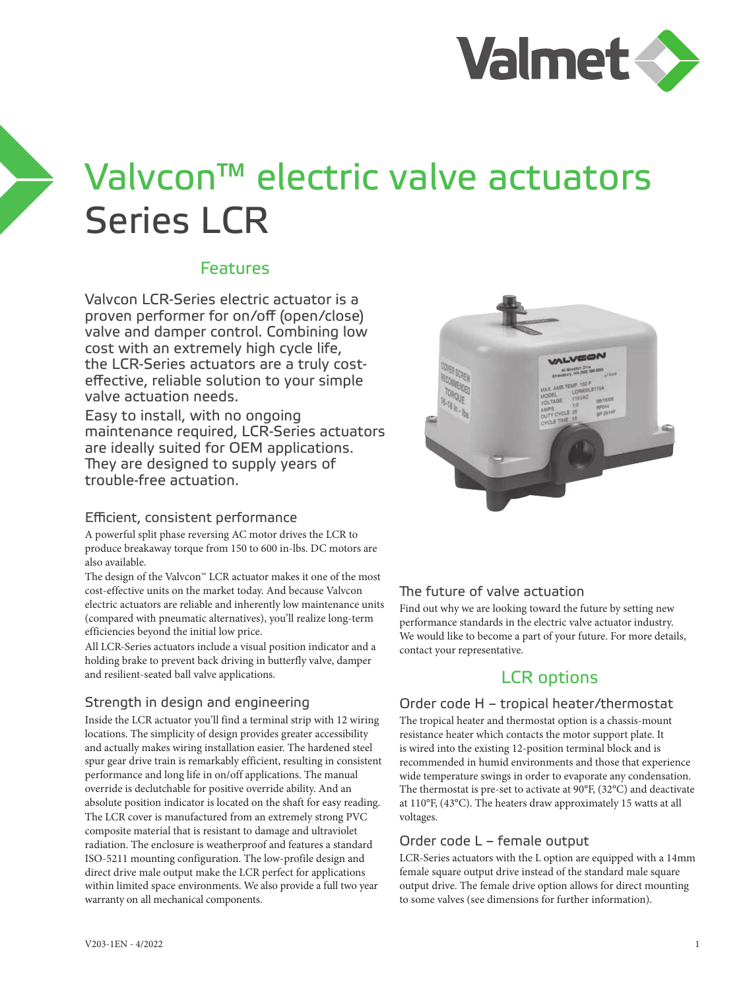

# Valvcon™ electric valve actuators Series LCR

### Features

Valvcon LCR-Series electric actuator is a proven performer for on/off (open/close) valve and damper control. Combining low cost with an extremely high cycle life, the LCR-Series actuators are a truly costeffective, reliable solution to your simple valve actuation needs.

Easy to install, with no ongoing maintenance required, LCR-Series actuators are ideally suited for OEM applications. They are designed to supply years of trouble-free actuation.

#### Efficient, consistent performance

A powerful split phase reversing AC motor drives the LCR to produce breakaway torque from 150 to 600 in-lbs. DC motors are also available.

The design of the Valvcon™ LCR actuator makes it one of the most cost-effective units on the market today. And because Valvcon electric actuators are reliable and inherently low maintenance units (compared with pneumatic alternatives), you'll realize long-term efficiencies beyond the initial low price.

All LCR-Series actuators include a visual position indicator and a holding brake to prevent back driving in butterfly valve, damper and resilient-seated ball valve applications.

#### Strength in design and engineering

Inside the LCR actuator you'll find a terminal strip with 12 wiring locations. The simplicity of design provides greater accessibility and actually makes wiring installation easier. The hardened steel spur gear drive train is remarkably efficient, resulting in consistent performance and long life in on/off applications. The manual override is declutchable for positive override ability. And an absolute position indicator is located on the shaft for easy reading. The LCR cover is manufactured from an extremely strong PVC composite material that is resistant to damage and ultraviolet radiation. The enclosure is weatherproof and features a standard ISO-5211 mounting configuration. The low-profile design and direct drive male output make the LCR perfect for applications within limited space environments. We also provide a full two year warranty on all mechanical components.



#### The future of valve actuation

Find out why we are looking toward the future by setting new performance standards in the electric valve actuator industry. We would like to become a part of your future. For more details, contact your representative.

## LCR options

#### Order code H – tropical heater/thermostat

The tropical heater and thermostat option is a chassis-mount resistance heater which contacts the motor support plate. It is wired into the existing 12-position terminal block and is recommended in humid environments and those that experience wide temperature swings in order to evaporate any condensation. The thermostat is pre-set to activate at 90°F, (32°C) and deactivate at 110°F, (43°C). The heaters draw approximately 15 watts at all voltages.

#### Order code L – female output

LCR-Series actuators with the L option are equipped with a 14mm female square output drive instead of the standard male square output drive. The female drive option allows for direct mounting to some valves (see dimensions for further information).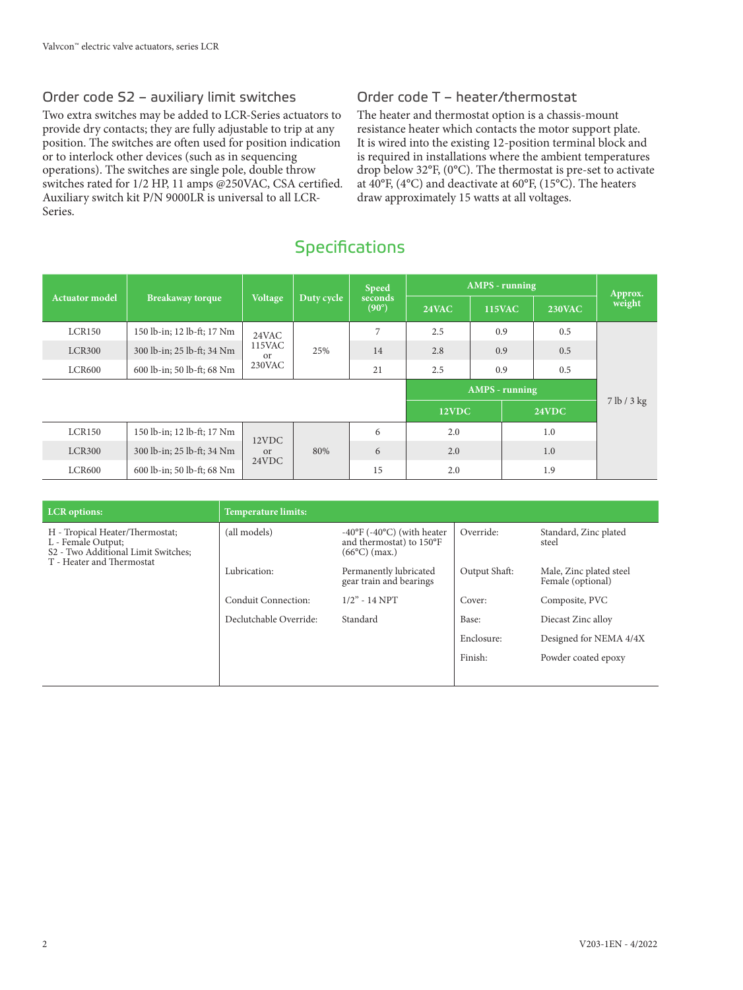#### Order code S2 – auxiliary limit switches

Two extra switches may be added to LCR-Series actuators to provide dry contacts; they are fully adjustable to trip at any position. The switches are often used for position indication or to interlock other devices (such as in sequencing operations). The switches are single pole, double throw switches rated for 1/2 HP, 11 amps @250VAC, CSA certified. Auxiliary switch kit P/N 9000LR is universal to all LCR-Series.

#### Order code T – heater/thermostat

The heater and thermostat option is a chassis-mount resistance heater which contacts the motor support plate. It is wired into the existing 12-position terminal block and is required in installations where the ambient temperatures drop below 32°F, (0°C). The thermostat is pre-set to activate at 40°F, (4°C) and deactivate at 60°F, (15°C). The heaters draw approximately 15 watts at all voltages.

# **Specifications**

|                       |                            |                                   | <b>Speed</b> |                           | <b>AMPS</b> - running |                       |     | Approx.       |             |     |  |     |     |
|-----------------------|----------------------------|-----------------------------------|--------------|---------------------------|-----------------------|-----------------------|-----|---------------|-------------|-----|--|-----|-----|
| <b>Actuator model</b> | <b>Breakaway</b> torque    | <b>Voltage</b>                    | Duty cycle   | seconds<br>$(90^{\circ})$ | 24VAC                 | <b>115VAC</b>         |     | <b>230VAC</b> | weight      |     |  |     |     |
| LCR150                | 150 lb-in; 12 lb-ft; 17 Nm | 24VAC                             |              | 7                         | 2.5                   | 0.9                   |     | 0.5           |             |     |  |     |     |
| LCR300                | 300 lb-in; 25 lb-ft; 34 Nm | 115VAC<br><sub>or</sub><br>230VAC |              |                           | 25%                   | 14                    | 2.8 | 0.9           |             | 0.5 |  |     |     |
| LCR600                | 600 lb-in; 50 lb-ft; 68 Nm |                                   |              | 21                        | 2.5                   | 0.9                   |     | 0.5           |             |     |  |     |     |
|                       |                            |                                   |              |                           |                       | <b>AMPS</b> - running |     |               |             |     |  |     |     |
|                       |                            |                                   |              |                           | 12VDC                 |                       |     | 24VDC         | 7 lb / 3 kg |     |  |     |     |
| LCR150                | 150 lb-in; 12 lb-ft; 17 Nm |                                   |              | 6                         | 2.0                   |                       |     | 1.0           |             |     |  |     |     |
| <b>LCR300</b>         | 300 lb-in; 25 lb-ft; 34 Nm | 12VDC<br><sub>or</sub><br>24VDC   |              |                           |                       |                       | 80% | 6             | 2.0         |     |  | 1.0 |     |
| LCR600                | 600 lb-in; 50 lb-ft; 68 Nm |                                   |              |                           |                       |                       |     |               |             |     |  | 15  | 2.0 |

| <b>LCR</b> options:                                                                                                                   | <b>Temperature limits:</b> |                                                                                                       |               |                                              |
|---------------------------------------------------------------------------------------------------------------------------------------|----------------------------|-------------------------------------------------------------------------------------------------------|---------------|----------------------------------------------|
| H - Tropical Heater/Thermostat;<br>L - Female Output;<br>S <sub>2</sub> - Two Additional Limit Switches:<br>T - Heater and Thermostat | (all models)               | $-40^{\circ}$ F ( $-40^{\circ}$ C) (with heater<br>and thermostat) to 150°F<br>$(66^{\circ}C)$ (max.) | Override:     | Standard, Zinc plated<br>steel               |
|                                                                                                                                       | Lubrication:               | Permanently lubricated<br>gear train and bearings                                                     | Output Shaft: | Male, Zinc plated steel<br>Female (optional) |
|                                                                                                                                       | Conduit Connection:        | $1/2$ " - 14 NPT                                                                                      | Cover:        | Composite, PVC                               |
|                                                                                                                                       | Declutchable Override:     | Standard                                                                                              | Base:         | Diecast Zinc alloy                           |
|                                                                                                                                       |                            |                                                                                                       | Enclosure:    | Designed for NEMA 4/4X                       |
|                                                                                                                                       |                            |                                                                                                       | Finish:       | Powder coated epoxy                          |
|                                                                                                                                       |                            |                                                                                                       |               |                                              |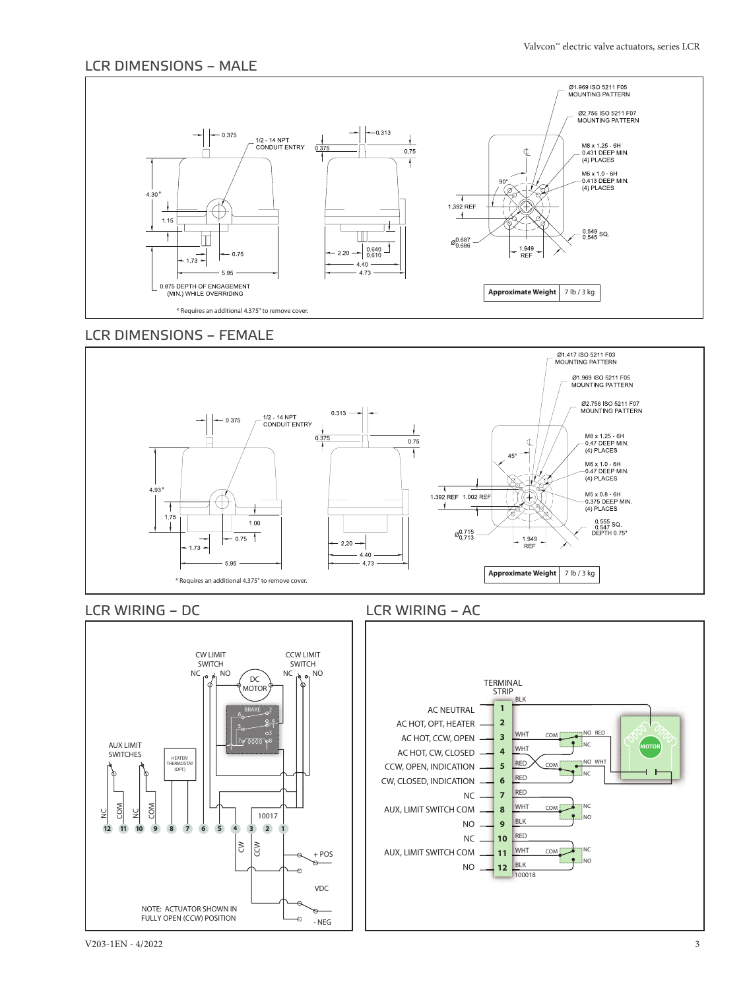#### LCR DIMENSIONS – MALE



#### LCR DIMENSIONS – FEMALE





#### LCR WIRING – DC LCR WIRING – AC